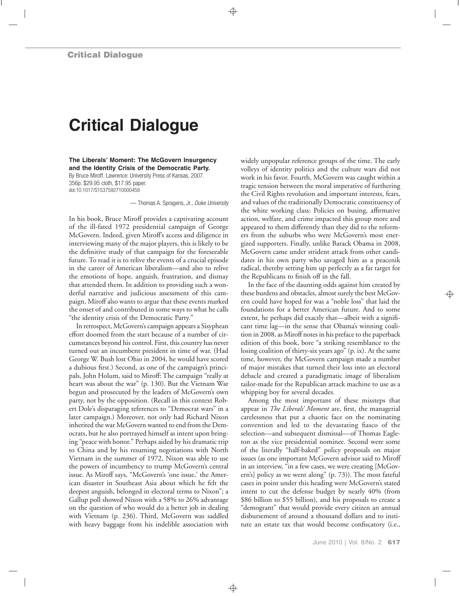## **Critical Dialogue**

**The Liberals' Moment: The McGovern Insurgency and the Identity Crisis of the Democratic Party.** By Bruce Miroff. Lawrence: University Press of Kansas, 2007.

356p. \$29.95 cloth, \$17.95 paper. doi:10.1017/S1537592710000459

— Thomas A. Spragens, Jr., *Duke University*

In his book, Bruce Miroff provides a captivating account of the ill-fated 1972 presidential campaign of George McGovern. Indeed, given Miroff's access and diligence in interviewing many of the major players, this is likely to be the definitive study of that campaign for the foreseeable future. To read it is to relive the events of a crucial episode in the career of American liberalism—and also to relive the emotions of hope, anguish, frustration, and dismay that attended them. In addition to providing such a wonderful narrative and judicious assessment of this campaign, Miroff also wants to argue that these events marked the onset of and contributed in some ways to what he calls "the identity crisis of the Democratic Party."

In retrospect, McGovern's campaign appears a Sisyphean effort doomed from the start because of a number of circumstances beyond his control. First, this country has never turned out an incumbent president in time of war. (Had George W. Bush lost Ohio in 2004, he would have scored a dubious first.) Second, as one of the campaign's principals, John Holum, said to Miroff: The campaign "really at heart was about the war" (p. 130). But the Vietnam War begun and prosecuted by the leaders of McGovern's own party, not by the opposition. (Recall in this context Robert Dole's disparaging references to "Democrat wars" in a later campaign.) Moreover, not only had Richard Nixon inherited the war McGovern wanted to end from the Democrats, but he also portrayed himself as intent upon bringing "peace with honor." Perhaps aided by his dramatic trip to China and by his resuming negotiations with North Vietnam in the summer of 1972, Nixon was able to use the powers of incumbency to trump McGovern's central issue. As Miroff says, "McGovern's 'one issue,' the American disaster in Southeast Asia about which he felt the deepest anguish, belonged in electoral terms to Nixon"; a Gallup poll showed Nixon with a 58% to 26% advantage on the question of who would do a better job in dealing with Vietnam (p. 236). Third, McGovern was saddled with heavy baggage from his indelible association with

widely unpopular reference groups of the time. The early volleys of identity politics and the culture wars did not work in his favor. Fourth, McGovern was caught within a tragic tension between the moral imperative of furthering the Civil Rights revolution and important interests, fears, and values of the traditionally Democratic constituency of the white working class: Policies on busing, affirmative action, welfare, and crime impacted this group more and appeared to them differently than they did to the reformers from the suburbs who were McGovern's most energized supporters. Finally, unlike Barack Obama in 2008, McGovern came under strident attack from other candidates in his own party who savaged him as a peacenik radical, thereby setting him up perfectly as a fat target for the Republicans to finish off in the fall.

In the face of the daunting odds against him created by these burdens and obstacles, almost surely the best McGovern could have hoped for was a "noble loss" that laid the foundations for a better American future. And to some extent, he perhaps did exactly that—albeit with a significant time lag—in the sense that Obama's winning coalition in 2008, as Miroff notes in his preface to the paperback edition of this book, bore "a striking resemblance to the losing coalition of thirty-six years ago" (p. ix). At the same time, however, the McGovern campaign made a number of major mistakes that turned their loss into an electoral debacle and created a paradigmatic image of liberalism tailor-made for the Republican attack machine to use as a whipping boy for several decades.

Among the most important of these missteps that appear in *The Liberals' Moment* are, first, the managerial carelessness that put a chaotic face on the nominating convention and led to the devastating fiasco of the selection—and subsequent dismissal—of Thomas Eagleton as the vice presidential nominee. Second were some of the literally "half-baked" policy proposals on major issues (as one important McGovern advisor said to Miroff in an interview, "in a few cases, we were creating [McGovern's] policy as we went along" (p. 73)). The most fateful cases in point under this heading were McGovern's stated intent to cut the defense budget by nearly 40% (from \$86 billion to \$55 billion), and his proposals to create a "demogrant" that would provide every citizen an annual disbursement of around a thousand dollars and to institute an estate tax that would become confiscatory (i.e.,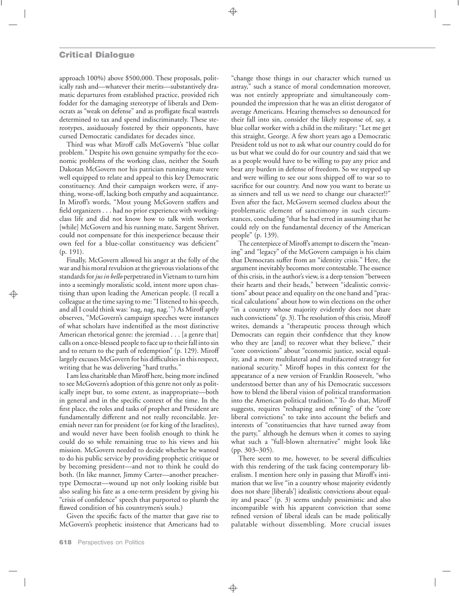## **Critical Dialogue**

approach 100%) above \$500,000. These proposals, politically rash and—whatever their merits—substantively dramatic departures from established practice, provided rich fodder for the damaging stereotype of liberals and Democrats as "weak on defense" and as profligate fiscal wastrels determined to tax and spend indiscriminately. These stereotypes, assiduously fostered by their opponents, have cursed Democratic candidates for decades since.

Third was what Miroff calls McGovern's "blue collar problem." Despite his own genuine sympathy for the economic problems of the working class, neither the South Dakotan McGovern nor his patrician running mate were well equipped to relate and appeal to this key Democratic constituency. And their campaign workers were, if anything, worse-off, lacking both empathy and acquaintance. In Miroff's words, "Most young McGovern staffers and field organizers . . . had no prior experience with workingclass life and did not know how to talk with workers [while] McGovern and his running mate, Sargent Shriver, could not compensate for this inexperience because their own feel for a blue-collar constituency was deficient" (p. 191).

Finally, McGovern allowed his anger at the folly of the war and his moral revulsion at the grievous violations of the standards for*jus in bello* perpetrated in Vietnam to turn him into a seemingly moralistic scold, intent more upon chastising than upon leading the American people. (I recall a colleague at the time saying to me: "I listened to his speech, and all I could think was: 'nag, nag, nag.'") As Miroff aptly observes, "McGovern's campaign speeches were instances of what scholars have indentified as the most distinctive American rhetorical genre: the jeremiad . . . [a genre that] calls on a once-blessed people to face up to their fall into sin and to return to the path of redemption" (p. 129). Miroff largely excuses McGovern for his difficulties in this respect, writing that he was delivering "hard truths."

I am less charitable than Miroff here, being more inclined to see McGovern's adoption of this genre not only as politically inept but, to some extent, as inappropriate—both in general and in the specific context of the time. In the first place, the roles and tasks of prophet and President are fundamentally different and not really reconcilable. Jeremiah never ran for president (or for king of the Israelites), and would never have been foolish enough to think he could do so while remaining true to his views and his mission. McGovern needed to decide whether he wanted to do his public service by providing prophetic critique or by becoming president—and not to think he could do both. (In like manner, Jimmy Carter—another preachertype Democrat—wound up not only looking risible but also sealing his fate as a one-term president by giving his "crisis of confidence" speech that purported to plumb the flawed condition of his countrymen's souls.)

Given the specific facts of the matter that gave rise to McGovern's prophetic insistence that Americans had to

"change those things in our character which turned us astray," such a stance of moral condemnation moreover, was not entirely appropriate and simultaneously compounded the impression that he was an elitist derogator of average Americans. Hearing themselves so denounced for their fall into sin, consider the likely response of, say, a blue collar worker with a child in the military: "Let me get this straight, George. A few short years ago a Democratic President told us not to ask what our country could do for us but what we could do for our country and said that we as a people would have to be willing to pay any price and bear any burden in defense of freedom. So we stepped up and were willing to see our sons shipped off to war so to sacrifice for our country. And now you want to berate us as sinners and tell us we need to change our character!?" Even after the fact, McGovern seemed clueless about the problematic element of sanctimony in such circumstances, concluding "that he had erred in assuming that he could rely on the fundamental decency of the American people" (p. 139).

The centerpiece of Miroff's attempt to discern the "meaning" and "legacy" of the McGovern campaign is his claim that Democrats suffer from an "identity crisis." Here, the argument inevitably becomes more contestable. The essence of this crisis, in the author's view, is a deep tension "between their hearts and their heads," between "idealistic convictions" about peace and equality on the one hand and "practical calculations" about how to win elections on the other "in a country whose majority evidently does not share such convictions" (p. 3). The resolution of this crisis, Miroff writes, demands a "therapeutic process through which Democrats can regain their confidence that they know who they are [and] to recover what they believe," their "core convictions" about "economic justice, social equality, and a more multilateral and multifaceted strategy for national security." Miroff hopes in this context for the appearance of a new version of Franklin Roosevelt, "who understood better than any of his Democratic successors how to blend the liberal vision of political transformation into the American political tradition." To do that, Miroff suggests, requires "reshaping and refining" of the "core liberal convictions" to take into account the beliefs and interests of "constituencies that have turned away from the party," although he demurs when it comes to saying what such a "full-blown alternative" might look like (pp. 303–305).

There seem to me, however, to be several difficulties with this rendering of the task facing contemporary liberalism. I mention here only in passing that Miroff's intimation that we live "in a country whose majority evidently does not share [liberals'] idealistic convictions about equality and peace" (p. 3) seems unduly pessimistic and also incompatible with his apparent conviction that some refined version of liberal ideals can be made politically palatable without dissembling. More crucial issues